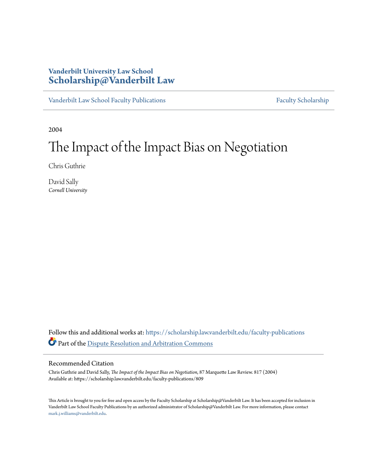## **Vanderbilt University Law School [Scholarship@Vanderbilt Law](https://scholarship.law.vanderbilt.edu?utm_source=scholarship.law.vanderbilt.edu%2Ffaculty-publications%2F809&utm_medium=PDF&utm_campaign=PDFCoverPages)**

[Vanderbilt Law School Faculty Publications](https://scholarship.law.vanderbilt.edu/faculty-publications?utm_source=scholarship.law.vanderbilt.edu%2Ffaculty-publications%2F809&utm_medium=PDF&utm_campaign=PDFCoverPages) [Faculty Scholarship](https://scholarship.law.vanderbilt.edu/faculty-scholarship?utm_source=scholarship.law.vanderbilt.edu%2Ffaculty-publications%2F809&utm_medium=PDF&utm_campaign=PDFCoverPages)

2004

# The Impact of the Impact Bias on Negotiation

Chris Guthrie

David Sally *Cornell University*

Follow this and additional works at: [https://scholarship.law.vanderbilt.edu/faculty-publications](https://scholarship.law.vanderbilt.edu/faculty-publications?utm_source=scholarship.law.vanderbilt.edu%2Ffaculty-publications%2F809&utm_medium=PDF&utm_campaign=PDFCoverPages) Part of the [Dispute Resolution and Arbitration Commons](http://network.bepress.com/hgg/discipline/890?utm_source=scholarship.law.vanderbilt.edu%2Ffaculty-publications%2F809&utm_medium=PDF&utm_campaign=PDFCoverPages)

### Recommended Citation

Chris Guthrie and David Sally, *The Impact of the Impact Bias on Negotiation*, 87 Marquette Law Review. 817 (2004) Available at: https://scholarship.law.vanderbilt.edu/faculty-publications/809

This Article is brought to you for free and open access by the Faculty Scholarship at Scholarship@Vanderbilt Law. It has been accepted for inclusion in Vanderbilt Law School Faculty Publications by an authorized administrator of Scholarship@Vanderbilt Law. For more information, please contact [mark.j.williams@vanderbilt.edu](mailto:mark.j.williams@vanderbilt.edu).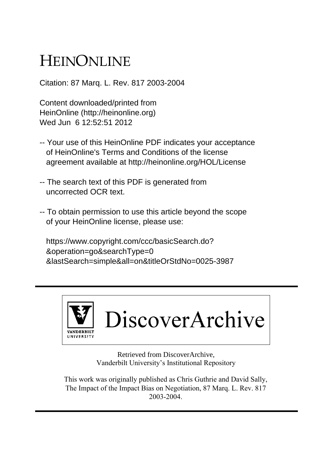# HEINONLINE

Citation: 87 Marq. L. Rev. 817 2003-2004

Content downloaded/printed from HeinOnline (http://heinonline.org) Wed Jun 6 12:52:51 2012

- -- Your use of this HeinOnline PDF indicates your acceptance of HeinOnline's Terms and Conditions of the license agreement available at http://heinonline.org/HOL/License
- -- The search text of this PDF is generated from uncorrected OCR text.
- -- To obtain permission to use this article beyond the scope of your HeinOnline license, please use:

 https://www.copyright.com/ccc/basicSearch.do? &operation=go&searchType=0 &lastSearch=simple&all=on&titleOrStdNo=0025-3987



Retrieved from DiscoverArchive, Vanderbilt University's Institutional Repository

This work was originally published as Chris Guthrie and David Sally, The Impact of the Impact Bias on Negotiation, 87 Marq. L. Rev. 817 2003-2004.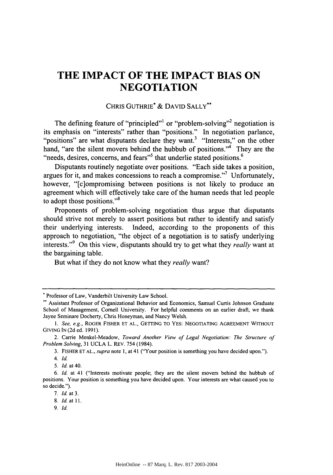# **THE IMPACT OF THE IMPACT BIAS ON NEGOTIATION**

## CHRIS GUTHRIE\* & DAVID SALLY\*\*

The defining feature of "principled"<sup>1</sup> or "problem-solving"<sup>2</sup> negotiation is its emphasis on "interests" rather than "positions." In negotiation parlance, "positions" are what disputants declare they want.<sup>3</sup> "Interests," on the other hand, "are the silent movers behind the hubbub of positions."<sup>4</sup> They are the "needs, desires, concerns, and fears"<sup>5</sup> that underlie stated positions.<sup>6</sup>

Disputants routinely negotiate over positions. "Each side takes a position, argues for it, and makes concessions to reach a compromise."<sup>7</sup> Unfortunately, however, "[c]ompromising between positions is not likely to produce an agreement which will effectively take care of the human needs that led people to adopt those positions."<sup>8</sup>

Proponents of problem-solving negotiation thus argue that disputants should strive not merely to assert positions but rather to identify and satisfy their underlying interests. Indeed, according to the proponents of this approach to negotiation, "the object of a negotiation is to satisfy underlying interests."<sup>9</sup> On this view, disputants should try to get what they *really* want at the bargaining table.

But what if they do not know what they *really* want?

**<sup>\*</sup>** Professor of Law, Vanderbilt University Law School.

Assistant Professor of Organizational Behavior and Economics, Samuel Curtis Johnson Graduate School of Management, Cornell University. For helpful comments on an earlier draft, we thank Jayne Seminare Docherty, Chris Honeyman, and Nancy Welsh.

*<sup>1.</sup>* See, e.g., ROGER FISHER ET **AL.,** GETTING TO YES: NEGOTIATING AGREEMENT WITHOUT GIVING IN (2d ed. 1991).

<sup>2.</sup> Carrie Menkel-Meadow, Toward Another View of Legal Negotiation: The Structure of Problem Solving, 31 UCLA L. REV. 754 (1984).

<sup>3.</sup> FISHER ET AL., supra note 1, at 41 ("Your position is something you have decided upon.").

<sup>4.</sup> Id.

*<sup>5.</sup>* **Id.** at 40.

*<sup>6.</sup>* Id. at 41 ("Interests motivate people; they are the silent movers behind the hubbub of positions. Your position is something you have decided upon. Your interests are what caused you to so decide.").

<sup>7.</sup> Id. at 3.

<sup>8.</sup> Id. at 11.

*<sup>9.</sup>* Id.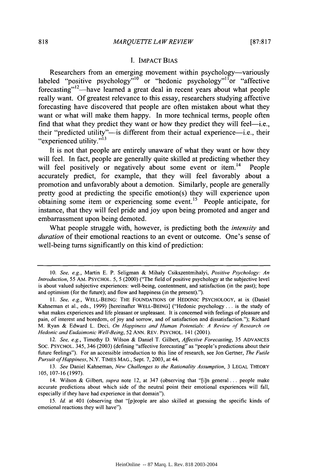#### I. IMPACT BIAS

Researchers from an emerging movement within psychology—variously labeled "positive psychology"<sup>10</sup> or "hedonic psychology"<sup>11</sup> or "affective forecasting"<sup>12</sup>—have learned a great deal in recent years about what people really want. Of greatest relevance to this essay, researchers studying affective forecasting have discovered that people are often mistaken about what they want or what will make them happy. In more technical terms, people often find that what they predict they want or how they predict they will feel-i.e., their "predicted utility"-is different from their actual experience-i.e., their "experienced utility."<sup>13</sup>

It is not that people are entirely unaware of what they want or how they will feel. In fact, people are generally quite skilled at predicting whether they will feel positively or negatively about some event or item.<sup>14</sup> People accurately predict, for example, that they will feel favorably about a promotion and unfavorably about a demotion. Similarly, people are generally pretty good at predicting the specific emotion(s) they will experience upon obtaining some item or experiencing some event.<sup>15</sup> People anticipate, for instance, that they will feel pride and joy upon being promoted and anger and embarrassment upon being demoted.

What people struggle with, however, is predicting both the *intensity* and *duration* of their emotional reactions to an event or outcome. One's sense of well-being turns significantly on this kind of prediction:

<sup>10.</sup> *See, e.g.,* Martin E. P. Seligman & Mihaly Csikszentmihalyi, *Positive Psychology: An Introduction,* 55 AM. PSYCHOL. 5, 5 (2000) ("The field of positive psychology at the subjective level is about valued subjective experiences: well-being, contentment, and satisfaction (in the past); hope and optimism (for the future); and flow and happiness (in the present).").

<sup>11.</sup> *See, e.g.,* WELL-BEING: THE FOUNDATIONS OF HEDONIC PSYCHOLOGY, at ix (Daniel Kahneman et al., eds., 1999) [hereinafter WELL-BEING] ("Hedonic psychology.., is the study of what makes experiences and life pleasant or unpleasant. It is concerned with feelings of pleasure and pain, of interest and boredom, of joy and sorrow, and of satisfaction and dissatisfaction."); Richard M. Ryan & Edward L. Deci. *On Happiness and Human Potentials: A Review of Research on Hedonic and Eudaimonic Well-Being,* 52 ANN. REV. PSYCHOL. 141 (2001).

<sup>12.</sup> *See, e.g.,* Timothy D. Wilson & Daniel T. Gilbert, *Affective Forecasting,* 35 ADVANCES SOC. PSYCHOL. 345, 346 (2003) (defining "affective forecasting" as "people's predictions about their future feelings"). For an accessible introduction to this line of research, see Jon Gertner, *The Futile Pursuit of Happiness,* N.Y. TIMES MAG., Sept. 7, 2003, at 44.

<sup>13.</sup> *See* Daniel Kahneman, *New Challenges to the Rationality Assumption,* 3 LEGAL THEORY 105, 107-16 (1997).

<sup>14.</sup> Wilson & Gilbert, *supra* note 12, at 347 (observing that "[i]n general **...** people make accurate predictions about which side of the neutral point their emotional experiences will fall, especially if they have had experience in that domain").

<sup>15.</sup> *Id.* at 401 (observing that "[p]eople are also skilled at guessing the specific kinds of emotional reactions they will have").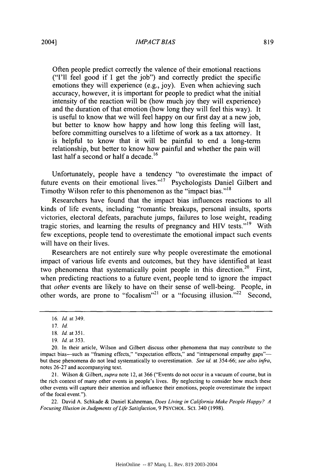Often people predict correctly the valence of their emotional reactions ("I'll feel good if I get the job") and correctly predict the specific emotions they will experience (e.g., joy). Even when achieving such accuracy, however, it is important for people to predict what the initial intensity of the reaction will be (how much joy they will experience) and the duration of that emotion (how long they will feel this way). It is useful to know that we will feel happy on our first day at a new job, but better to know how happy and how long this feeling will last, before committing ourselves to a lifetime of work as a tax attorney. It is helpful to know that it will be painful to end a long-term relationship, but better to know how painful and whether the pain will last half a second or half a decade.<sup>16</sup>

Unfortunately, people have a tendency "to overestimate the impact of future events on their emotional lives."<sup>17</sup> Psychologists Daniel Gilbert and Timothy Wilson refer to this phenomenon as the "impact bias."<sup>18</sup>

Researchers have found that the impact bias influences reactions to all kinds of life events, including "romantic breakups, personal insults, sports victories, electoral defeats, parachute jumps, failures to lose weight, reading tragic stories, and learning the results of pregnancy and HIV tests."<sup>19</sup> With few exceptions, people tend to overestimate the emotional impact such events will have on their lives.

Researchers are not entirely sure why people overestimate the emotional impact of various life events and outcomes, but they have identified at least two phenomena that systematically point people in this direction.<sup>20</sup> First, when predicting reactions to a future event, people tend to ignore the impact that *other* events are likely to have on their sense of well-being. People, in other words, are prone to "focalism"<sup>21</sup> or a "focusing illusion."<sup>22</sup> Second,

21. Wilson & Gilbert, *supra* note 12, at 366 ("Events do not occur in a vacuum of course, but in the rich context of many other events in people's lives. By neglecting to consider how much these other events will capture their attention and influence their emotions, people overestimate the impact of the focal event.").

22. David A. Schkade & Daniel Kahneman, *Does Living in California Make People Happy? A Focusing Illusion in Judgments of Life Satisfaction,* 9 PSYCHOL. ScI. 340 (1998).

<sup>16.</sup> *Id* at 349.

<sup>17.</sup> *Id.*

<sup>18.</sup> Id. at **351.**

<sup>19.</sup> Id. at 353.

<sup>20.</sup> In their article, Wilson and Gilbert discuss other phenomena that may contribute to the impact bias-such as "framing effects," "expectation effects," and "intrapersonal empathy gaps"but these phenomena do not lead systematically to overestimation. *See id.* at 354-66; *see also infra,* notes 26-27 and accompanying text.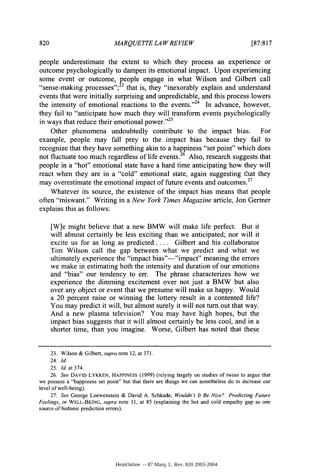people underestimate the extent to which they process an experience or outcome psychologically to dampen its emotional impact. Upon experiencing some event or outcome, people engage in what Wilson and Gilbert call "sense-making processes"; $^{23}$  that is, they "inexorably explain and understand events that were initially surprising and unpredictable, and this process lowers the intensity of emotional reactions to the events. $2^{24}$  In advance, however, they fail to "anticipate how much they will transform events psychologically in ways that reduce their emotional power." $25$ 

Other phenomena undoubtedly contribute to the impact bias. For example, people may fall prey to the impact bias because they fail to recognize that they have something akin to a happiness "set point" which does not fluctuate too much regardless of life events.<sup>26</sup> Also, research suggests that people in a "hot" emotional state have a hard time anticipating how they will react when they are in a "cold" emotional state, again suggesting that they may overestimate the emotional impact of future events and outcomes.<sup>27</sup>

Whatever its source, the existence of the impact bias means that people often "miswant." Writing in a *New York Times Magazine* article, Jon Gertner explains this as follows:

[W]e might believe that a new BMW will make life perfect. But it will almost certainly be less exciting than we anticipated; nor will it excite us for as long as predicted .... Gilbert and his collaborator Tim Wilson call the gap between what we predict and what we ultimately experience the "impact bias"—"impact" meaning the errors we make in estimating both the intensity and duration of our emotions and "bias" our tendency to err. The phrase characterizes how we experience the dimming excitement over not just a BMW but also over any object or event that we presume will make us happy. Would a 20 percent raise or winning the lottery result in a contented life? You may predict it will, but almost surely it will not turn out that way. And a new plasma television? You may have high hopes, but the impact bias suggests that it will almost certainly be less cool, and in a shorter time, than you imagine. Worse, Gilbert has noted that these

<sup>23.</sup> Wilson & Gilbert, *supra* note 12, at 371.

<sup>24.</sup> *Id.*

<sup>25.</sup> *Id.* at 374.

<sup>26.</sup> *See* DAVID LYKKEN, HAPPINESS (1999) (relying largely on studies of twins to argue that we possess a "happiness set point" but that there are things we can nonetheless do to increase our level of well-being).

<sup>27.</sup> *See* George Loewenstein & David A. Schkade, *Wouldn't It Be Nice? Predicting Future Feelings, in* WELL-BEING, *supra* note 11, at 85 (explaining the hot and cold empathy gap as one source of hedonic prediction errors).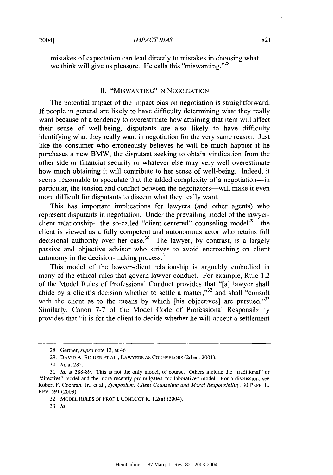mistakes of expectation can lead directly to mistakes in choosing what we think will give us pleasure. He calls this "miswanting."<sup>28</sup>

### II. "MISWANTING" IN NEGOTIATION

The potential impact of the impact bias on negotiation is straightforward. If people in general are likely to have difficulty determining what they really want because of a tendency to overestimate how attaining that item will affect their sense of well-being, disputants are also likely to have difficulty identifying what they really want in negotiation for the very same reason. Just like the consumer who erroneously believes he will be much happier if he purchases a new BMW, the disputant seeking to obtain vindication from the other side or financial security or whatever else may very well overestimate how much obtaining it will contribute to her sense of well-being. Indeed, it seems reasonable to speculate that the added complexity of a negotiation-in particular, the tension and conflict between the negotiators-will make it even more difficult for disputants to discern what they really want.

This has important implications for lawyers (and other agents) who represent disputants in negotiation. Under the prevailing model of the lawyerclient relationship—the so-called "client-centered" counseling model<sup>29</sup>—the client is viewed as a fully competent and autonomous actor who retains full decisional authority over her case.<sup>30</sup> The lawyer, by contrast, is a largely passive and objective advisor who strives to avoid encroaching on client autonomy in the decision-making process.<sup>31</sup>

This model of the lawyer-client relationship is arguably embodied in many of the ethical rules that govern lawyer conduct. For example, Rule 1.2 of the Model Rules of Professional Conduct provides that "[a] lawyer shall abide by a client's decision whether to settle a matter," $32$  and shall "consult" with the client as to the means by which [his objectives] are pursued. $33$ Similarly, Canon 7-7 of the Model Code of Professional Responsibility provides that "it is for the client to decide whether he will accept a settlement

<sup>28.</sup> Gertner, *supra* note 12, at 46.

**<sup>29.</sup> DAVID** A. BINDER **ET AL.,** LAWYERS **AS COUNSELORS** (2d ed. 2001).

**<sup>30.</sup>** *Id.* at 282.

<sup>31.</sup> *Id.* at 288-89. This is not the only model, of course. Others include the "traditional" or "directive" model and the more recently promulgated "collaborative" model. For a discussion, see Robert F. Cochran, Jr., et al., *Symposium: Client Counseling and Moral Responsibility,* 30 PEPP. L. REV. **591** (2003).

**<sup>32.</sup>** MODEL **RULES** OF PROF'L **CONDUCT** R. 1.2(a) (2004).

**<sup>33.</sup>** *Id.*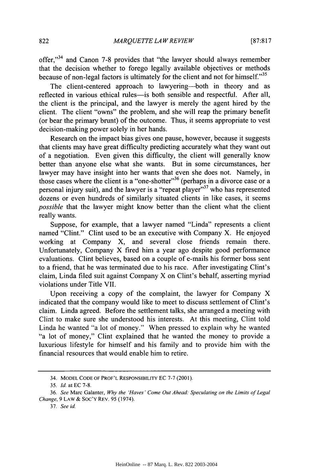offer, $"$ <sup>34</sup> and Canon 7-8 provides that "the lawyer should always remember that the decision whether to forego legally available objectives or methods because of non-legal factors is ultimately for the client and not for himself."<sup>35</sup>

The client-centered approach to lawyering—both in theory and as reflected in various ethical rules-is both sensible and respectful. After all, the client is the principal, and the lawyer is merely the agent hired by the client. The client "owns" the problem, and she will reap the primary benefit (or bear the primary brunt) of the outcome. Thus, it seems appropriate to vest decision-making power solely in her hands.

Research on the impact bias gives one pause, however, because it suggests that clients may have great difficulty predicting accurately what they want out of a negotiation. Even given this difficulty, the client will generally know better than anyone else what she wants. But in some circumstances, her lawyer may have insight into her wants that even she does not. Namely, in those cases where the client is a "one-shotter"<sup>36</sup> (perhaps in a divorce case or a personal injury suit), and the lawyer is a "repeat player"<sup>37</sup> who has represented dozens or even hundreds of similarly situated clients in like cases, it seems *possible* that the lawyer might know better than the client what the client really wants.

Suppose, for example, that a lawyer named "Linda" represents a client named "Clint." Clint used to be an executive with Company X. He enjoyed working at Company X, and several close friends remain there. Unfortunately, Company X fired him a year ago despite good performance evaluations. Clint believes, based on a couple of e-mails his former boss sent to a friend, that he was terminated due to his race. After investigating Clint's claim, Linda filed suit against Company X on Clint's behalf, asserting myriad violations under Title VII.

Upon receiving a copy of the complaint, the lawyer for Company X indicated that the company would like to meet to discuss settlement of Clint's claim. Linda agreed. Before the settlement talks, she arranged a meeting with Clint to make sure she understood his interests. At this meeting, Clint told Linda he wanted "a lot of money." When pressed to explain why he wanted "a lot of money," Clint explained that he wanted the money to provide a luxurious lifestyle for himself and his family and to provide him with the financial resources that would enable him to retire.

<sup>34.</sup> MODEL **CODE** OF PROF'L RESPONSIBILITY EC 7-7 (2001).

*<sup>35.</sup> Id.* at EC 7-8.

<sup>36.</sup> *See* Marc Galanter, *Why the 'Haves' Come Out Ahead Speculating on the Limits of Legal Change,* 9 LAW & SOC'Y REV. 95 (1974).

<sup>37.</sup> *See id.*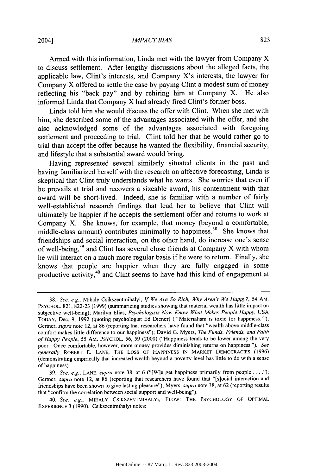#### *IMPACT BIAS*

Armed with this information, Linda met with the lawyer from Company X to discuss settlement. After lengthy discussions about the alleged facts, the applicable law, Clint's interests, and Company X's interests, the lawyer for Company X offered to settle the case by paying Clint a modest sum of money reflecting his "back pay" and by rehiring him at Company X. He also informed Linda that Company X had already fired Clint's former boss.

Linda told him she would discuss the offer with Clint. When she met with him, she described some of the advantages associated with the offer, and she also acknowledged some of the advantages associated with foregoing settlement and proceeding to trial. Clint told her that he would rather go to trial than accept the offer because he wanted the flexibility, financial security, and lifestyle that a substantial award would bring.

Having represented several similarly situated clients in the past and having familiarized herself with the research on affective forecasting, Linda is skeptical that Clint truly understands what he wants. She worries that even if he prevails at trial and recovers a sizeable award, his contentment with that award will be short-lived. Indeed, she is familiar with a number of fairly well-established research findings that lead her to believe that Clint will ultimately be happier if he accepts the settlement offer and returns to work at Company X. She knows, for example, that money (beyond a comfortable, middle-class amount) contributes minimally to happiness.<sup>38</sup> She knows that friendships and social interaction, on the other hand, do increase one's sense of well-being,<sup>39</sup> and Clint has several close friends at Company X with whom he will interact on a much more regular basis if he were to return. Finally, she knows that people are happier when they are fully engaged in some productive activity,<sup>40</sup> and Clint seems to have had this kind of engagement at

<sup>38.</sup> *See, e.g.,* Mihaly Csikszentmihalyi, *If We Are So Rich, Why Aren't We Happy?,* 54 AM. PSYCHOL. 821, 822-23 (1999) (summarizing studies showing that material wealth has little impact on subjective well-being); Marilyn Elias, *Psychologists Now Know What Makes People Happy,* USA TODAY, Dec. 9, 1992 (quoting psychologist Ed Diener) ("'Materialism is toxic for happiness.'"); Gertner, *supra* note 12, at 86 (reporting that researchers have found that "wealth above middle-class comfort makes little difference to our happiness"); David G. Myers, *The Funds, Friends, and Faith of Happy People,* 55 **AM.** PSYCHOL. 56, 59 (2000) ("Happiness tends to be lower among the very poor. Once comfortable, however, more money provides diminishing returns on happiness."). *See generally* ROBERT **E. LANE,** THE Loss OF **HAPPINESS IN** MARKET **DEMOCRACIES (1996)** (demonstrating empirically that increased wealth beyond a poverty level has little to do with a sense of happiness).

<sup>39.</sup> *See, e.g.,* **LANE,** *supra* note 38, at 6 ("[W]e get happiness primarily from people. Gertner, *supra* note 12, at 86 (reporting that researchers have found that "[s]ocial interaction and friendships have been shown to give lasting pleasure"); Myers, *supra* note 38, at 62 (reporting results that "confirm the correlation between social support and well-being").

<sup>40.</sup> *See, e.g.,* MIHALY CSIKSZENTMIHALYI, FLOW: **THE** PSYCHOLOGY OF OPTIMAL EXPERIENCE 3 (1990). Csikszentmihalyi notes: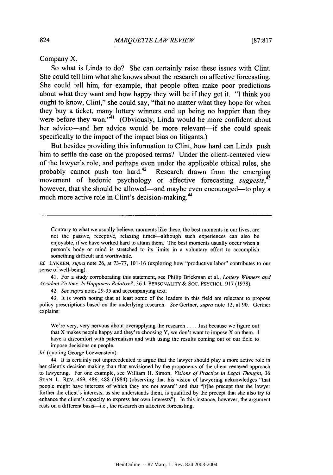Company X.

So what is Linda to do? She can certainly raise these issues with Clint. She could tell him what she knows about the research on affective forecasting. She could tell him, for example, that people often make poor predictions about what they want and how happy they will be if they get it. **"I** think you ought to know, Clint," she could say, "that no matter what they hope for when they buy a ticket, many lottery winners end up being no happier than they were before they won."<sup>41</sup> (Obviously, Linda would be more confident about her advice-and her advice would be more relevant-if she could speak specifically to the impact of the impact bias on litigants.)

But besides providing this information to Clint, how hard can Linda push him to settle the case on the proposed terms? Under the client-centered view of the lawyer's role, and perhaps even under the applicable ethical rules, she probably cannot push too hard.<sup>42</sup> Research drawn from the emerging movement of hedonic psychology or affective forecasting *suggests,4* however, that she should be allowed—and maybe even encouraged—to play a much more active role in Clint's decision-making.<sup>44</sup>

Id. LYKKEN, *supra* note 26, at 73-77, 101-16 (exploring how "productive labor" contributes to our sense of well-being).

41. For a study corroborating this statement, see Philip Brickman et al., *Lottery Winners and Accident Victims: Is Happiness Relative?,* 36 J. PERSONALITY & SOC. PSYCHOL. 917 (1978).

42. *See supra* notes 29-35 and accompanying text.

43. It is worth noting that at least some of the leaders in this field are reluctant to propose policy prescriptions based on the underlying research. *See* Gertner, *supra* note 12, at 90. Gertner explains:

We're very, very nervous about overapplying the research .... Just because we figure out that X makes people happy and they're choosing Y, we don't want to impose X on them. I have a discomfort with paternalism and with using the results coming out of our field to impose decisions on people.

Id. (quoting George Loewenstein).

44. It is certainly not unprecedented to argue that the lawyer should play a more active role in her client's decision making than that envisioned by the proponents of the client-centered approach to lawyering. For one example, see William H. Simon, *Visions of Practice in Legal Thought,* <sup>36</sup> STAN. L. REv. 469, 486, 488 (1984) (observing that his vision of lawyering acknowledges "that people might have interests of which they are not aware" and that "[t]he precept that the lawyer further the client's interests, as she understands them, is qualified by the precept that she also try to enhance the client's capacity to express her own interests"). In this instance, however, the argument rests on a different basis—i.e., the research on affective forecasting.

Contrary to what we usually believe, moments like these, the best moments in our lives, are not the passive, receptive, relaxing times-although such experiences can also be enjoyable, if we have worked hard to attain them. The best moments usually occur when a person's body or mind is stretched to its limits in a voluntary effort to accomplish something difficult and worthwhile.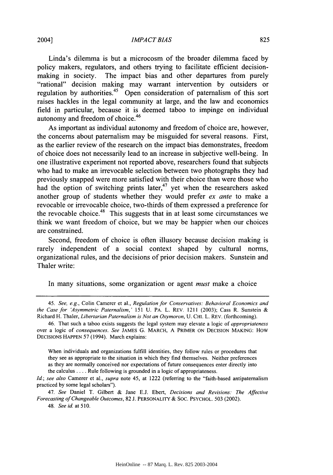#### *IMPACT BIAS*

Linda's dilemma is but a microcosm of the broader dilemma faced by policy makers, regulators, and others trying to facilitate efficient decisionmaking in society. The impact bias and other departures from purely "rational" decision making may warrant intervention by outsiders or regulation by authorities.<sup>45</sup> Open consideration of paternalism of this sort raises hackles in the legal community at large, and the law and economics field in particular, because it is deemed taboo to impinge on individual autonomy and freedom of choice.<sup>46</sup>

As important as individual autonomy and freedom of choice are, however, the concerns about paternalism may be misguided for several reasons. First, as the earlier review of the research on the impact bias demonstrates, freedom of choice does not necessarily lead to an increase in subjective well-being. In one illustrative experiment not reported above, researchers found that subjects who had to make an irrevocable selection between two photographs they had previously snapped were more satisfied with their choice than were those who had the option of switching prints later,<sup>47</sup> yet when the researchers asked another group of students whether they would prefer *ex ante* to make a revocable or irrevocable choice, two-thirds of them expressed a preference for the revocable choice.<sup>48</sup> This suggests that in at least some circumstances we think we want freedom of choice, but we may be happier when our choices are constrained.

Second, freedom of choice is often illusory because decision making is rarely independent of a social context shaped by cultural norms, organizational rules, and the decisions of prior decision makers. Sunstein and Thaler write:

In many situations, some organization or agent *must* make a choice

When individuals and organizations fulfill identities, they follow rules or procedures that they see as appropriate to the situation in which they find themselves. Neither preferences as they are normally conceived nor expectations of future consequences enter directly into the calculus .... Rule following is grounded in a logic of appropriateness.

*Id; see also* Camerer et al., *supra* note 45, at 1222 (referring to the "faith-based antipaternalism practiced by some legal scholars").

*47. See* Daniel T. Gilbert & Jane E.J. Ebert, *Decisions and Revisions: The Affective Forecasting of Changeable Outcomes,* 82 J. PERSONALITY & SOC. PSYCHOL. 503 (2002).

48. *See id.* at **510.**

<sup>45.</sup> *See, e.g.,* Colin Camerer et al., *Regulation for Conservatives: Behavioral Economics and the Case for 'Asymmetric Paternalism,'* 151 U. PA. L. REv. 1211 (2003); Cass R. Sunstein & Richard H. Thaler, *Libertarian Paternalism is Not an Oxymoron,* U. CHI. L. REV. (forthcoming).

<sup>46.</sup> That such a taboo exists suggests the legal system may elevate a logic of *appropriateness* over a logic of *consequences. See* JAMES G. MARCH, A PRIMER ON DECISION MAKING: How DECISIONS HAPPEN 57 (1994). March explains: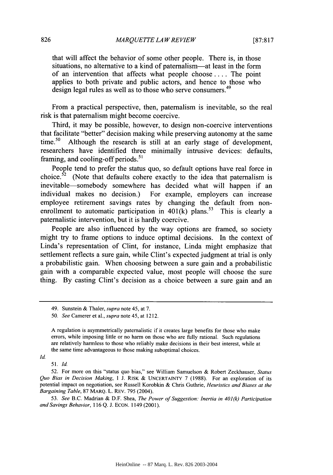that will affect the behavior of some other people. There is, in those situations, no alternative to a kind of paternalism—at least in the form of an intervention that affects what people choose .... The point applies to both private and public actors, and hence to those who design legal rules as well as to those who serve consumers.<sup>49</sup>

From a practical perspective, then, paternalism is inevitable, so the real risk is that paternalism might become coercive.

Third, it may be possible, however, to design non-coercive interventions that facilitate "better" decision making while preserving autonomy at the same time.<sup>50</sup> Although the research is still at an early stage of development, researchers have identified three minimally intrusive devices: defaults, framing, and cooling-off periods. $51$ 

People tend to prefer the status quo, so default options have real force in choice.<sup>52</sup> (Note that defaults cohere exactly to the idea that paternalism is inevitable-somebody somewhere has decided what will happen if an individual makes no decision.) For example, employers can increase employee retirement savings rates by changing the default from nonenrollment to automatic participation in  $401(k)$  plans.<sup>53</sup> This is clearly a paternalistic intervention, but it is hardly coercive.

People are also influenced by the way options are framed, so society might try to frame options to induce optimal decisions. In the context of Linda's representation of Clint, for instance, Linda might emphasize that settlement reflects a sure gain, while Clint's expected judgment at trial is only a probabilistic gain. When choosing between a sure gain and a probabilistic gain with a comparable expected value, most people will choose the sure thing. By casting Clint's decision as a choice between a sure gain and an

*Id.*

*53. See* B.C. Madrian & D.F. Shea, *The Power of Suggestion: Inertia in 401(k) Participation and Savings Behavior,* 116 Q. J. ECON. 1149 (2001).

<sup>49.</sup> Sunstein & Thaler, *supra* note 45, at 7.

<sup>50.</sup> *See* Camerer et al., *supra* note 45, at 1212.

A regulation is asymmetrically paternalistic if it creates large benefits for those who make errors, while imposing little or no harm on those who are fully rational. Such regulations are relatively harmless to those who reliably make decisions in their best interest, while at the same time advantageous to those making suboptimal choices.

*<sup>51.</sup> Id.*

<sup>52.</sup> For more on this "status quo bias," see William Samuelson & Robert Zeckhauser, *Status Quo Bias in Decision Making,* 1 J. RISK & UNCERTAINTY 7 (1988). For an exploration of its potential impact on negotiation, see Russell Korobkin & Chris Guthrie, *Heuristics and Biases at the Bargaining Table,* 87 MARQ. L. REv. 795 (2004).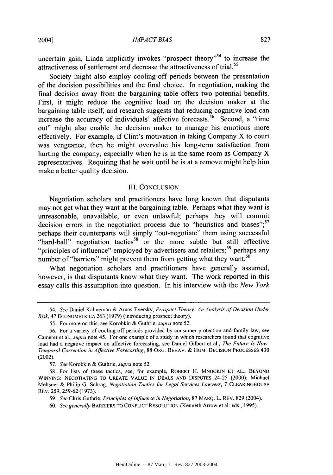#### *IMPACT BIAS*

uncertain gain, Linda implicitly invokes "prospect theory"<sup>54</sup> to increase the attractiveness of settlement and decrease the attractiveness of trial.<sup>55</sup>

Society might also employ cooling-off periods between the presentation of the decision possibilities and the final choice. In negotiation, making the final decision away from the bargaining table offers two potential benefits. First, it might reduce the cognitive load on the decision maker at the bargaining table itself, and research suggests that reducing cognitive load can increase the accuracy of individuals' affective forecasts.<sup>56</sup> Second, a "time" out" might also enable the decision maker to manage his emotions more effectively. For example, if Clint's motivation in taking Company X to court was vengeance, then he might overvalue his long-term satisfaction from hurting the company, especially when he is in the same room as Company X representatives. Requiring that he wait until he is at a remove might help him make a better quality decision.

#### III. CONCLUSION

Negotiation scholars and practitioners have long known that disputants may not get what they want at the bargaining table. Perhaps what they want is unreasonable, unavailable, or even unlawful; perhaps they will commit decision errors in the negotiation process due to "heuristics and biases";<sup>57</sup> perhaps their counterparts will simply "out-negotiate" them using successful "hard-ball" negotiation tactics<sup>58</sup> or the more subtle but still effective "principles of influence" employed by advertisers and retailers;<sup>59</sup> perhaps any number of "barriers" might prevent them from getting what they want.<sup>60</sup>

What negotiation scholars and practitioners have generally assumed, however, is that disputants know what they want. The work reported in this essay calls this assumption into question. In his interview with the *New York*

<sup>54.</sup> *See* Daniel Kahneman & Amos Tversky, *Prospect Theory: An Analysis of Decision Under Risk,* 47 ECONOMETRICA 263 (1979) (introducing prospect theory).

<sup>55.</sup> For more on this, see Korobkin & Guthrie, *supra* note 52.

<sup>56.</sup> For a variety of cooling-off periods provided by consumer protection and family law, see Camerer et al., *supra* note 45. For one example of a study in which researchers found that cognitive load had a negative impact on affective forecasting, see Daniel Gilbert et al., *The Future Is* Now: *Temporal Correction in Affective Forecasting,* 88 ORG. BEHAV. & HUM. DECISION PROCESSES 430 (2002).

<sup>57.</sup> *See* Korobkin & Guthrie, *supra* note 52.

<sup>58.</sup> For lists of these tactics, see, for example, ROBERT H. MNOOKIN ET AL., BEYOND **WINNtNG:** NEGOTIATING TO CREATE VALUE IN DEALS AND DISPUTES 24-25 (2000); Michael Meltsner & Philip G. Schrag, Negotiation *Tactics for Legal Services Lawyers,* 7 CLEARINGHOUSE REV. 259, 259-62 (1973).

<sup>59.</sup> *See* Chris Guthrie, *Principles of* Influence in Negotiation, 87 MARQ. L. REv. 829 (2004).

<sup>60.</sup> *See generally* BARRIERS TO CONFLICT RESOLUTION (Kenneth Arrow et al. eds., 1995).